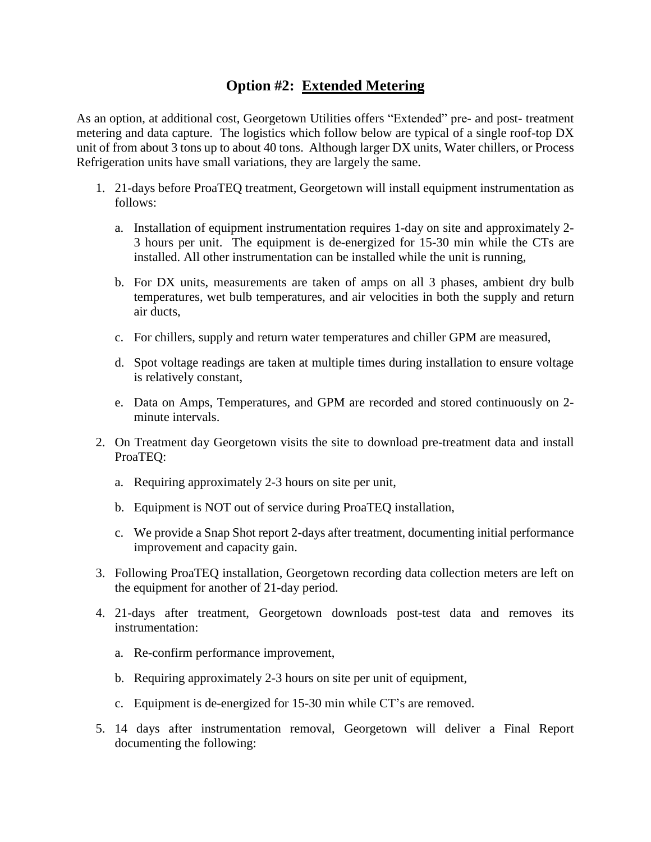# **Option #2: Extended Metering**

As an option, at additional cost, Georgetown Utilities offers "Extended" pre- and post- treatment metering and data capture. The logistics which follow below are typical of a single roof-top DX unit of from about 3 tons up to about 40 tons. Although larger DX units, Water chillers, or Process Refrigeration units have small variations, they are largely the same.

- 1. 21-days before ProaTEQ treatment, Georgetown will install equipment instrumentation as follows:
	- a. Installation of equipment instrumentation requires 1-day on site and approximately 2- 3 hours per unit. The equipment is de-energized for 15-30 min while the CTs are installed. All other instrumentation can be installed while the unit is running,
	- b. For DX units, measurements are taken of amps on all 3 phases, ambient dry bulb temperatures, wet bulb temperatures, and air velocities in both the supply and return air ducts,
	- c. For chillers, supply and return water temperatures and chiller GPM are measured,
	- d. Spot voltage readings are taken at multiple times during installation to ensure voltage is relatively constant,
	- e. Data on Amps, Temperatures, and GPM are recorded and stored continuously on 2 minute intervals.
- 2. On Treatment day Georgetown visits the site to download pre-treatment data and install ProaTEQ:
	- a. Requiring approximately 2-3 hours on site per unit,
	- b. Equipment is NOT out of service during ProaTEQ installation,
	- c. We provide a Snap Shot report 2-days after treatment, documenting initial performance improvement and capacity gain.
- 3. Following ProaTEQ installation, Georgetown recording data collection meters are left on the equipment for another of 21-day period.
- 4. 21-days after treatment, Georgetown downloads post-test data and removes its instrumentation:
	- a. Re-confirm performance improvement,
	- b. Requiring approximately 2-3 hours on site per unit of equipment,
	- c. Equipment is de-energized for 15-30 min while CT's are removed.
- 5. 14 days after instrumentation removal, Georgetown will deliver a Final Report documenting the following: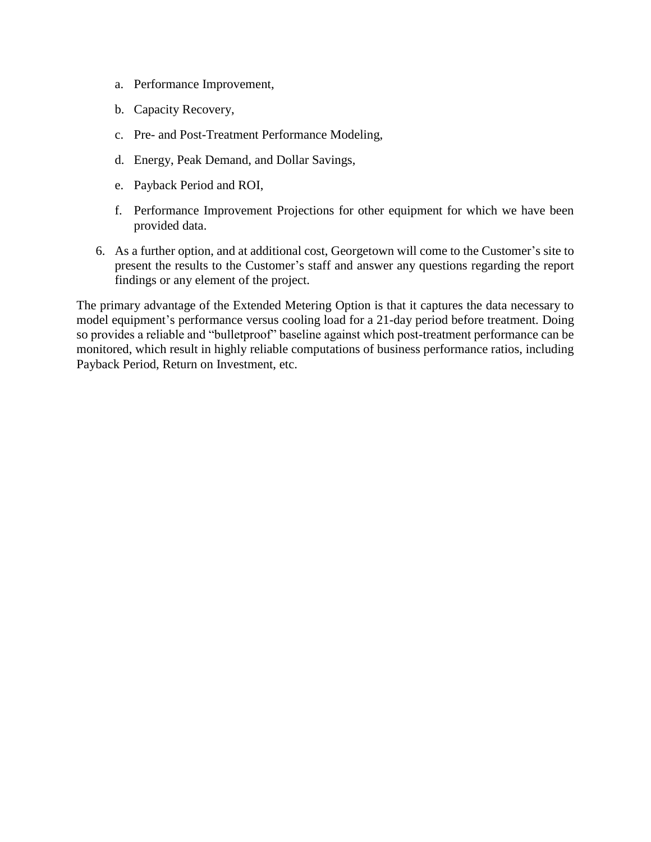- a. Performance Improvement,
- b. Capacity Recovery,
- c. Pre- and Post-Treatment Performance Modeling,
- d. Energy, Peak Demand, and Dollar Savings,
- e. Payback Period and ROI,
- f. Performance Improvement Projections for other equipment for which we have been provided data.
- 6. As a further option, and at additional cost, Georgetown will come to the Customer's site to present the results to the Customer's staff and answer any questions regarding the report findings or any element of the project.

The primary advantage of the Extended Metering Option is that it captures the data necessary to model equipment's performance versus cooling load for a 21-day period before treatment. Doing so provides a reliable and "bulletproof" baseline against which post-treatment performance can be monitored, which result in highly reliable computations of business performance ratios, including Payback Period, Return on Investment, etc.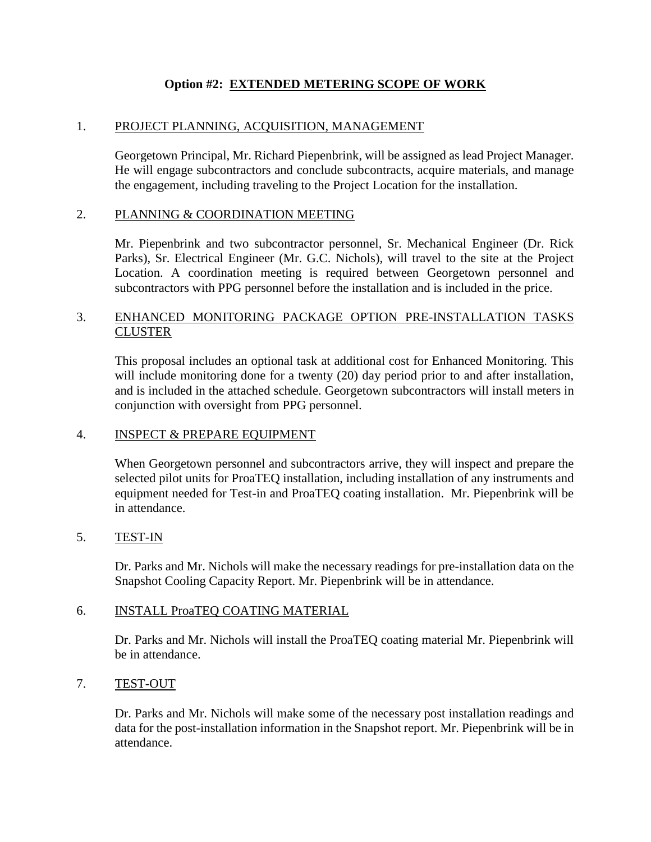## **Option #2: EXTENDED METERING SCOPE OF WORK**

## 1. PROJECT PLANNING, ACQUISITION, MANAGEMENT

Georgetown Principal, Mr. Richard Piepenbrink, will be assigned as lead Project Manager. He will engage subcontractors and conclude subcontracts, acquire materials, and manage the engagement, including traveling to the Project Location for the installation.

## 2. PLANNING & COORDINATION MEETING

Mr. Piepenbrink and two subcontractor personnel, Sr. Mechanical Engineer (Dr. Rick Parks), Sr. Electrical Engineer (Mr. G.C. Nichols), will travel to the site at the Project Location. A coordination meeting is required between Georgetown personnel and subcontractors with PPG personnel before the installation and is included in the price.

## 3. ENHANCED MONITORING PACKAGE OPTION PRE-INSTALLATION TASKS **CLUSTER**

This proposal includes an optional task at additional cost for Enhanced Monitoring. This will include monitoring done for a twenty (20) day period prior to and after installation, and is included in the attached schedule. Georgetown subcontractors will install meters in conjunction with oversight from PPG personnel.

#### 4. INSPECT & PREPARE EQUIPMENT

When Georgetown personnel and subcontractors arrive, they will inspect and prepare the selected pilot units for ProaTEQ installation, including installation of any instruments and equipment needed for Test-in and ProaTEQ coating installation. Mr. Piepenbrink will be in attendance.

#### 5. TEST-IN

Dr. Parks and Mr. Nichols will make the necessary readings for pre-installation data on the Snapshot Cooling Capacity Report. Mr. Piepenbrink will be in attendance.

#### 6. INSTALL ProaTEQ COATING MATERIAL

Dr. Parks and Mr. Nichols will install the ProaTEQ coating material Mr. Piepenbrink will be in attendance.

#### 7. TEST-OUT

Dr. Parks and Mr. Nichols will make some of the necessary post installation readings and data for the post-installation information in the Snapshot report. Mr. Piepenbrink will be in attendance.